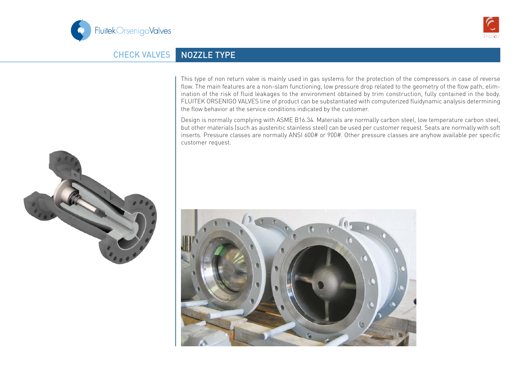



## CHECK VALVES NOZZLE TYPE

This type of non return valve is mainly used in gas systems for the protection of the compressors in case of reverse flow. The main features are a non-slam functioning, low pressure drop related to the geometry of the flow path, elimination of the risk of fluid leakages to the environment obtained by trim construction, fully contained in the body. FLUITEK ORSENIGO VALVES line of product can be substantiated with computerized fluidynamic analysis determining the flow behavior at the service conditions indicated by the customer.

Design is normally complying with ASME B16.34. Materials are normally carbon steel, low temperature carbon steel, but other materials (such as austenitic stainless steel) can be used per customer request. Seats are normally with soft inserts. Pressure classes are normally ANSI 600# or 900#. Other pressure classes are anyhow available per specific customer request.